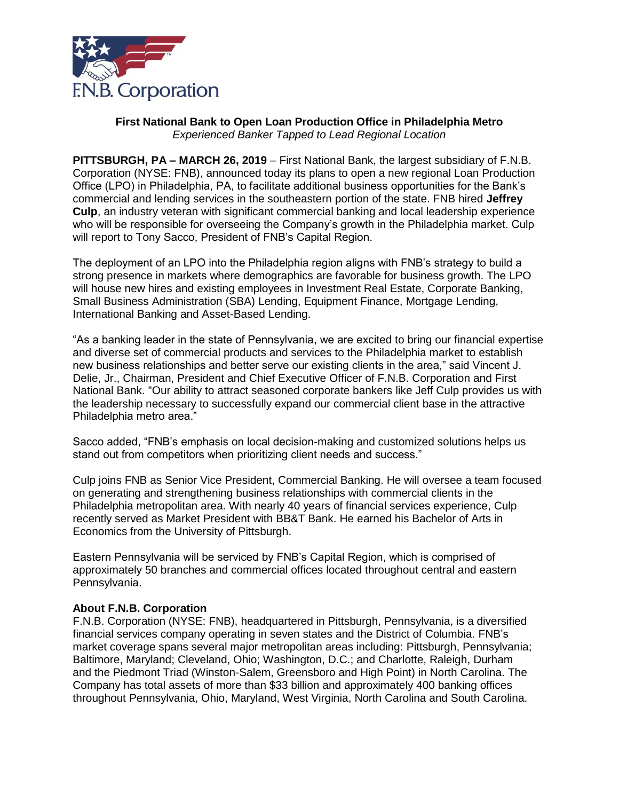

## **First National Bank to Open Loan Production Office in Philadelphia Metro** *Experienced Banker Tapped to Lead Regional Location*

**PITTSBURGH, PA – MARCH 26, 2019** – First National Bank, the largest subsidiary of F.N.B. Corporation (NYSE: FNB), announced today its plans to open a new regional Loan Production Office (LPO) in Philadelphia, PA, to facilitate additional business opportunities for the Bank's commercial and lending services in the southeastern portion of the state. FNB hired **Jeffrey Culp**, an industry veteran with significant commercial banking and local leadership experience who will be responsible for overseeing the Company's growth in the Philadelphia market. Culp will report to Tony Sacco, President of FNB's Capital Region.

The deployment of an LPO into the Philadelphia region aligns with FNB's strategy to build a strong presence in markets where demographics are favorable for business growth. The LPO will house new hires and existing employees in Investment Real Estate, Corporate Banking, Small Business Administration (SBA) Lending, Equipment Finance, Mortgage Lending, International Banking and Asset-Based Lending.

"As a banking leader in the state of Pennsylvania, we are excited to bring our financial expertise and diverse set of commercial products and services to the Philadelphia market to establish new business relationships and better serve our existing clients in the area," said Vincent J. Delie, Jr., Chairman, President and Chief Executive Officer of F.N.B. Corporation and First National Bank. "Our ability to attract seasoned corporate bankers like Jeff Culp provides us with the leadership necessary to successfully expand our commercial client base in the attractive Philadelphia metro area."

Sacco added, "FNB's emphasis on local decision-making and customized solutions helps us stand out from competitors when prioritizing client needs and success."

Culp joins FNB as Senior Vice President, Commercial Banking. He will oversee a team focused on generating and strengthening business relationships with commercial clients in the Philadelphia metropolitan area. With nearly 40 years of financial services experience, Culp recently served as Market President with BB&T Bank. He earned his Bachelor of Arts in Economics from the University of Pittsburgh.

Eastern Pennsylvania will be serviced by FNB's Capital Region, which is comprised of approximately 50 branches and commercial offices located throughout central and eastern Pennsylvania.

## **About F.N.B. Corporation**

F.N.B. Corporation (NYSE: FNB), headquartered in Pittsburgh, Pennsylvania, is a diversified financial services company operating in seven states and the District of Columbia. FNB's market coverage spans several major metropolitan areas including: Pittsburgh, Pennsylvania; Baltimore, Maryland; Cleveland, Ohio; Washington, D.C.; and Charlotte, Raleigh, Durham and the Piedmont Triad (Winston-Salem, Greensboro and High Point) in North Carolina. The Company has total assets of more than \$33 billion and approximately 400 banking offices throughout Pennsylvania, Ohio, Maryland, West Virginia, North Carolina and South Carolina.